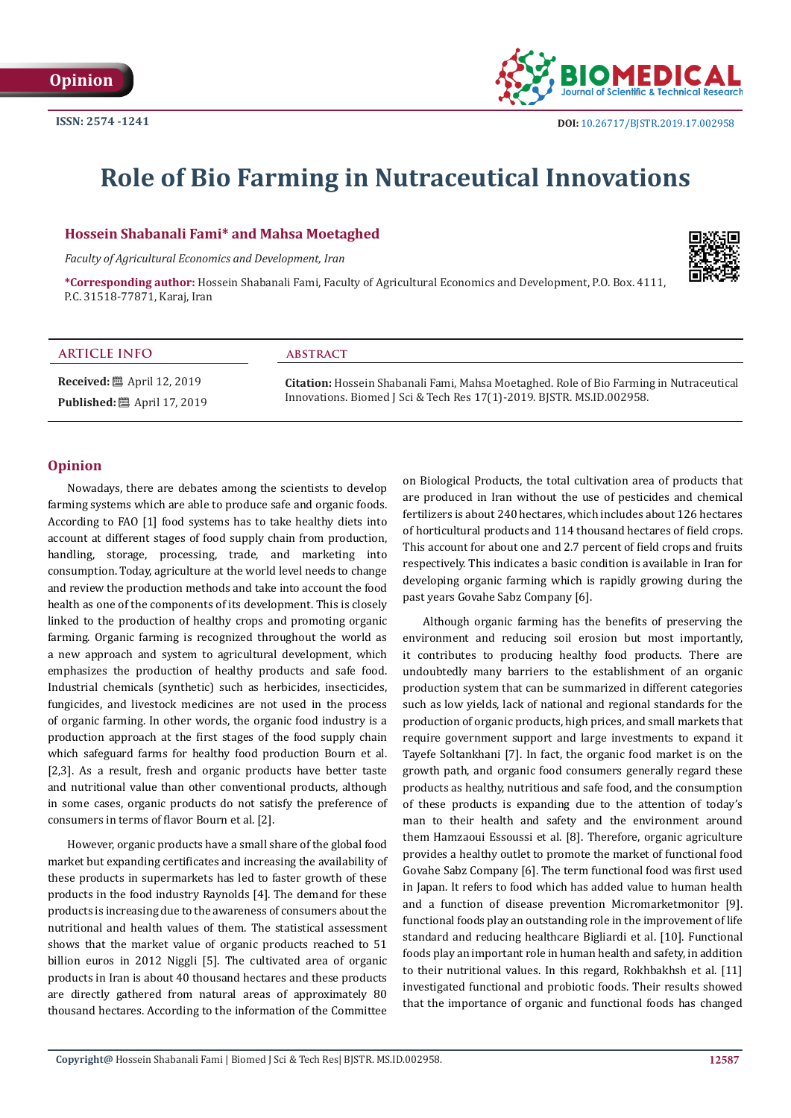

# **Role of Bio Farming in Nutraceutical Innovations**

## **Hossein Shabanali Fami\* and Mahsa Moetaghed**

*Faculty of Agricultural Economics and Development, Iran*



**\*Corresponding author:** Hossein Shabanali Fami, Faculty of Agricultural Economics and Development, P.O. Box. 4111, P.C. 31518-77871, Karaj, Iran

## **ARTICLE INFO abstract**

**Received:** ■ April 12, 2019 **Published:** ■ April 17, 2019

**Citation:** Hossein Shabanali Fami, Mahsa Moetaghed. Role of Bio Farming in Nutraceutical Innovations. Biomed J Sci & Tech Res 17(1)-2019. BJSTR. MS.ID.002958.

#### **Opinion**

Nowadays, there are debates among the scientists to develop farming systems which are able to produce safe and organic foods. According to FAO [1] food systems has to take healthy diets into account at different stages of food supply chain from production, handling, storage, processing, trade, and marketing into consumption. Today, agriculture at the world level needs to change and review the production methods and take into account the food health as one of the components of its development. This is closely linked to the production of healthy crops and promoting organic farming. Organic farming is recognized throughout the world as a new approach and system to agricultural development, which emphasizes the production of healthy products and safe food. Industrial chemicals (synthetic) such as herbicides, insecticides, fungicides, and livestock medicines are not used in the process of organic farming. In other words, the organic food industry is a production approach at the first stages of the food supply chain which safeguard farms for healthy food production Bourn et al. [2,3]. As a result, fresh and organic products have better taste and nutritional value than other conventional products, although in some cases, organic products do not satisfy the preference of consumers in terms of flavor Bourn et al. [2].

However, organic products have a small share of the global food market but expanding certificates and increasing the availability of these products in supermarkets has led to faster growth of these products in the food industry Raynolds [4]. The demand for these products is increasing due to the awareness of consumers about the nutritional and health values of them. The statistical assessment shows that the market value of organic products reached to 51 billion euros in 2012 Niggli [5]. The cultivated area of organic products in Iran is about 40 thousand hectares and these products are directly gathered from natural areas of approximately 80 thousand hectares. According to the information of the Committee

on Biological Products, the total cultivation area of products that are produced in Iran without the use of pesticides and chemical fertilizers is about 240 hectares, which includes about 126 hectares of horticultural products and 114 thousand hectares of field crops. This account for about one and 2.7 percent of field crops and fruits respectively. This indicates a basic condition is available in Iran for developing organic farming which is rapidly growing during the past years Govahe Sabz Company [6].

Although organic farming has the benefits of preserving the environment and reducing soil erosion but most importantly, it contributes to producing healthy food products. There are undoubtedly many barriers to the establishment of an organic production system that can be summarized in different categories such as low yields, lack of national and regional standards for the production of organic products, high prices, and small markets that require government support and large investments to expand it Tayefe Soltankhani [7]. In fact, the organic food market is on the growth path, and organic food consumers generally regard these products as healthy, nutritious and safe food, and the consumption of these products is expanding due to the attention of today's man to their health and safety and the environment around them Hamzaoui Essoussi et al. [8]. Therefore, organic agriculture provides a healthy outlet to promote the market of functional food Govahe Sabz Company [6]. The term functional food was first used in Japan. It refers to food which has added value to human health and a function of disease prevention Micromarketmonitor [9]. functional foods play an outstanding role in the improvement of life standard and reducing healthcare Bigliardi et al. [10]. Functional foods play an important role in human health and safety, in addition to their nutritional values. In this regard, Rokhbakhsh et al. [11] investigated functional and probiotic foods. Their results showed that the importance of organic and functional foods has changed